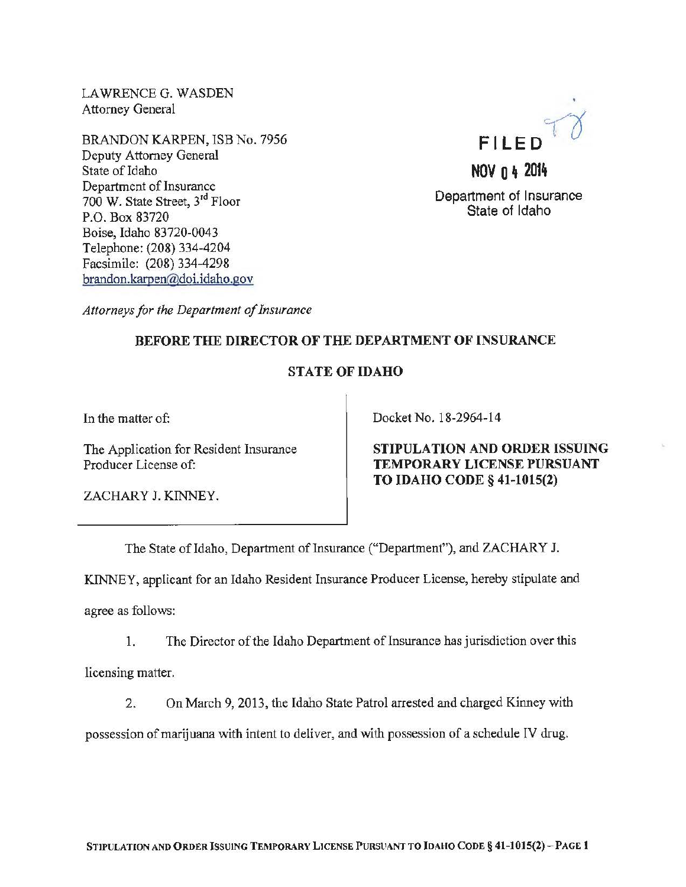LAWRENCE G. WASDEN Attorney General

BRANDON KARPEN, ISB No. 7956 Deputy Attorney General State of Idaho Department of Insurance 700 W. State Street, 3rd Floor P.O. Box 83720 Boise, Idaho 83720-0043 Telephone: (208) 334-4204 Facsimile: (208) 334-4298 brandon.karpen@doi.idaho.gov



*Attorneys for the Department of Insurance* 

## BEFORE THE DIRECTOR OF THE DEPARTMENT OF INSURANCE

## STATE OF IDAHO

In the matter of:

The Application for Resident Insurance Producer License of:

Docket No. 18-2964-14

STIPULATION AND ORDER ISSUING TEMPORARY LICENSE PURSUANT TO IDAHO CODE§ 41-1015(2)

ZACHARY J. KINNEY.

The State of Idaho, Department of Insurance ("Department"), and ZACHARY J.

KINNEY, applicant for an Idaho Resident Insurance Producer License, hereby stipulate and agree as follows:

1. The Director of the Idaho Department of Insurance has jurisdiction over this licensing matter.

2. On March 9, 2013, the Idaho State Patrol arrested and charged Kinney with possession of marijuana with intent to deliver, and with possession of a schedule IV drug.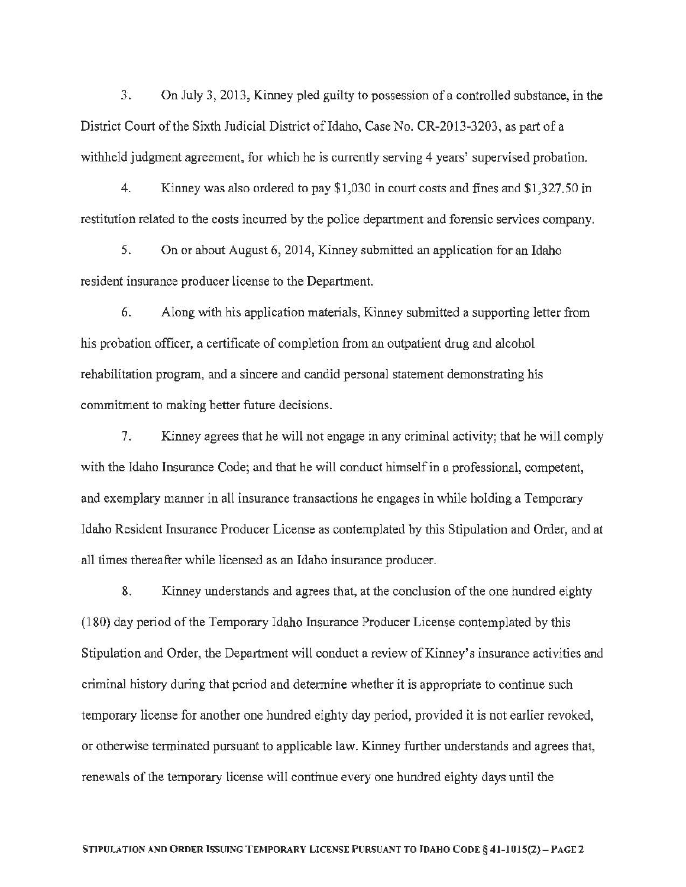3. On July 3, 2013, Kinney pled guilty to possession of a controlled substance, in the District Court of the Sixth Judicial District of Idaho, Case No. CR-2013-3203, as part of a withheld judgment agreement, for which he is currently serving 4 years' supervised probation.

4. Kinney was also ordered to pay \$1,030 in court costs and fines and \$1,327.50 in restitution related to the costs incurred by the police department and forensic services company.

5. On or about August 6, 2014, Kinney submitted an application for an Idaho resident insurance producer license to the Department

6. Along with his application materials, Kinney submitted a supporting letter from his probation officer, a certificate of completion from an outpatient drug and alcohol rehabilitation program, and a sincere and candid personal statement demonstrating his commitment to making better future decisions.

7. Kinney agrees that he will not engage in any criminal activity; that he will comply with the Idaho Insurance Code; and that he will conduct himself in a professional, competent, and exemplary manner in all insurance transactions he engages in while holding a Temporary Idaho Resident Insurance Producer License as contemplated by this Stipulation and Order, and at all times thereafter while licensed as an Idaho insurance producer.

8. Kinney understands and agrees that, at the conclusion of the one hundred eighty ( 180) day period of the Temporary Idaho Insurance Producer License contemplated by this Stipulation and Order, the Department will conduct a review of Kinney's insurance activities and criminal history during that period and determine whether it is appropriate to continue such temporary license for another one hundred eighty day period, provided it is not earlier revoked, or otherwise terminated pursuant to applicable law. Kinney further understands and agrees that, renewals of the temporary license will continue every one hundred eighty days until the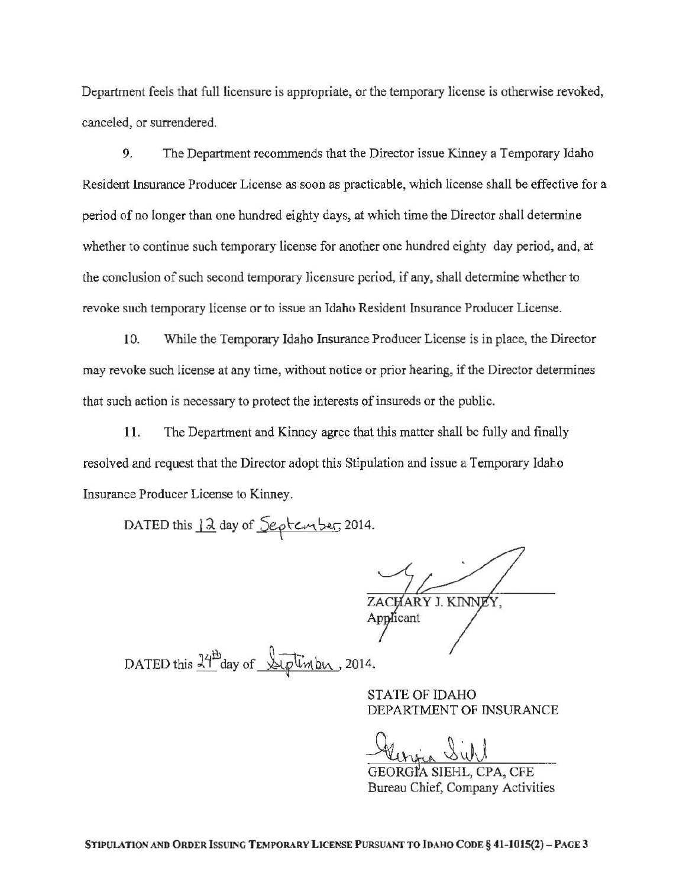Department feels that full licensure is appropriate, or the temporary license is otherwise revoked, canceled, or surrendered.

9. The Department recommends that the Director issue Kinney a Temporary Idaho Resident Insurance Producer License as soon as practicable, which license shall be effective for a period of no longer than one hundred eighty days, at which time the Director shall determine whether to continue such temporary license for another one hundred eighty day period, and, at the conclusion of such second temporary licensure period, if any, shall determine whether to revoke such temporary license or to issue an Idaho Resident Insurance Producer License.

10. While the Temporary Idaho Insurance Producer License is in place, the Director may revoke such license at any time, without notice or prior hearing, if the Director determines that such action is necessary to protect the interests of insureds or the public.

11. The Department and Kinney agree that this matter shall be fully and finally resolved and request that the Director adopt this Stipulation and issue a Temporary Idaho Insurance Producer License to Kinney.

DATED this 12 day of Septenber, 2014.

ZACHARY J. KINNE

DATED this  $\frac{14h}{100}$  day of Siptimby, 2014.

STATE OF IDAHO DEPARTMENT OF INSURANCE

Alengia Siehl

SIEHL, CPA, CFE Bureau Chief, Company Activities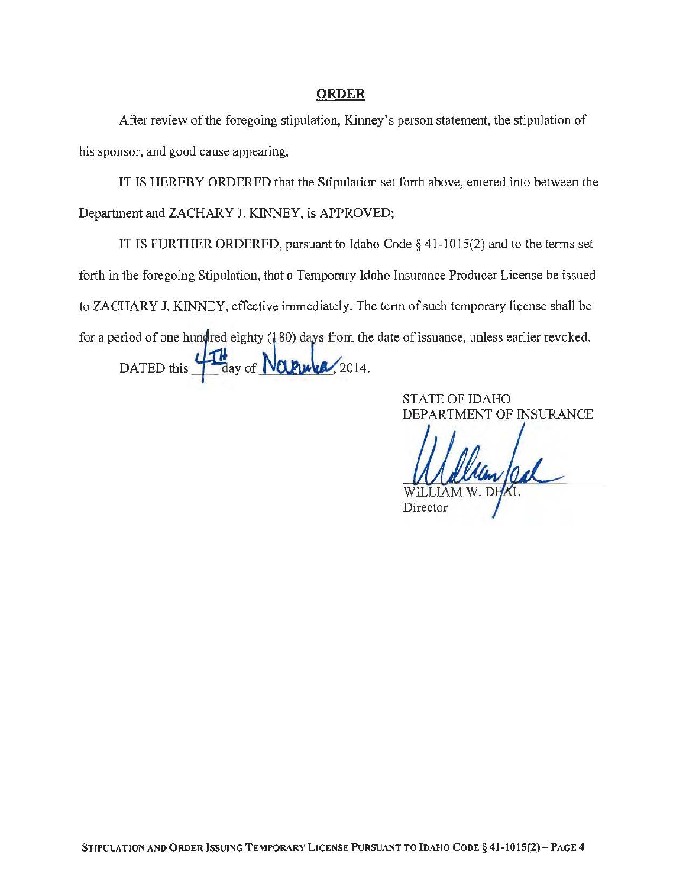## ORDER

After review of the foregoing stipulation, Kinney's person statement, the stipulation of his sponsor, and good cause appearing,

IT IS HEREBY ORDERED that the Stipulation set forth above, entered into between the Department and ZACHARY J. KINNEY, is APPROVED;

IT IS FURTHER ORDERED, pursuant to Idaho Code§ 41-1015(2) and to the terms set forth in the foregoing Stipulation, that a Temporary Idaho Insurance Producer License be issued to ZACHARY J. KINNEY, effective immediately. The term of such temporary license shall be for a period of one hundred eighty (180) days from the date of issuance, unless earlier revoked. DATED this  $\frac{\sqrt{16}}{4}$  day of  $N$   $\alpha$   $\alpha$ , 2014.

> STATE OF IDAHO DEPARTMENT OF INSURANCE

William Cal